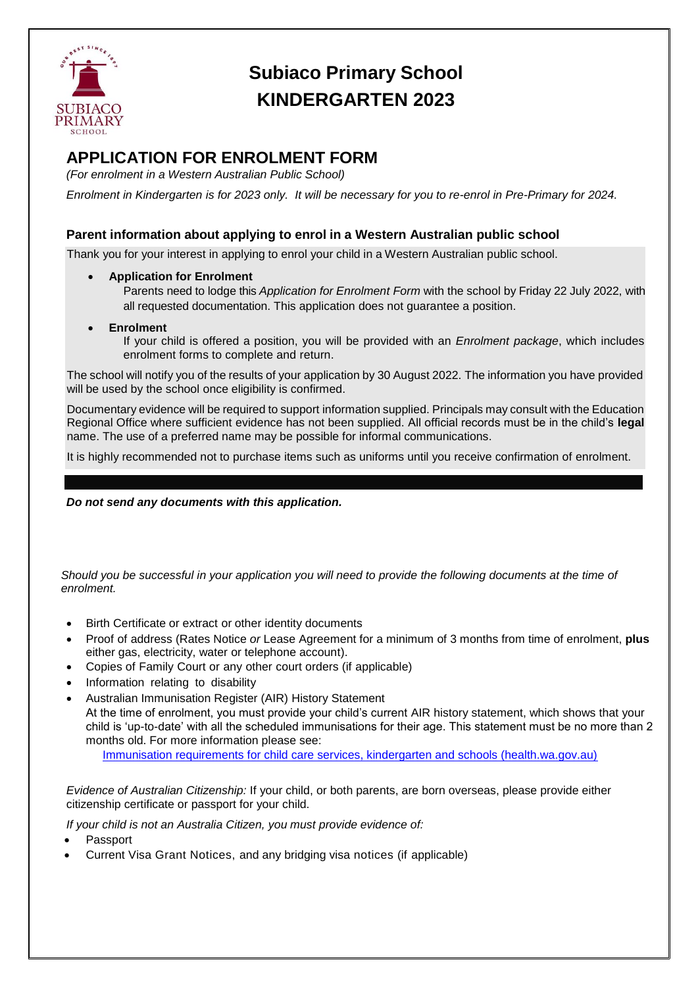

## **Subiaco Primary School KINDERGARTEN 2023**

## **APPLICATION FOR ENROLMENT FORM**

*(For enrolment in a Western Australian Public School)*

*Enrolment in Kindergarten is for 2023 only. It will be necessary for you to re-enrol in Pre-Primary for 2024.*

## **Parent information about applying to enrol in a Western Australian public school**

Thank you for your interest in applying to enrol your child in a Western Australian public school.

- **Application for Enrolment**
	- Parents need to lodge this *Application for Enrolment Form* with the school by Friday 22 July 2022, with all requested documentation. This application does not guarantee a position.
- **Enrolment**

If your child is offered a position, you will be provided with an *Enrolment package*, which includes enrolment forms to complete and return.

The school will notify you of the results of your application by 30 August 2022. The information you have provided will be used by the school once eligibility is confirmed.

Documentary evidence will be required to support information supplied. Principals may consult with the Education Regional Office where sufficient evidence has not been supplied. All official records must be in the child's **legal**  name. The use of a preferred name may be possible for informal communications.

It is highly recommended not to purchase items such as uniforms until you receive confirmation of enrolment.

*Do not send any documents with this application.*

*Should you be successful in your application you will need to provide the following documents at the time of enrolment.* 

- Birth Certificate or extract or other identity documents
- Proof of address (Rates Notice *or* Lease Agreement for a minimum of 3 months from time of enrolment, **plus** either gas, electricity, water or telephone account).
- Copies of Family Court or any other court orders (if applicable)
- Information relating to disability
- Australian Immunisation Register (AIR) History Statement

At the time of enrolment, you must provide your child's current AIR history statement, which shows that your child is 'up-to-date' with all the scheduled immunisations for their age. This statement must be no more than 2 months old. For more information please see:

[Immunisation requirements for child care services, kindergarten and schools \(health.wa.gov.au\)](https://ww2.health.wa.gov.au/immunisationenrolment)

*Evidence of Australian Citizenship:* If your child, or both parents, are born overseas, please provide either citizenship certificate or passport for your child.

*If your child is not an Australia Citizen, you must provide evidence of:*

- Passport
- Current Visa Grant Notices, and any bridging visa notices (if applicable)